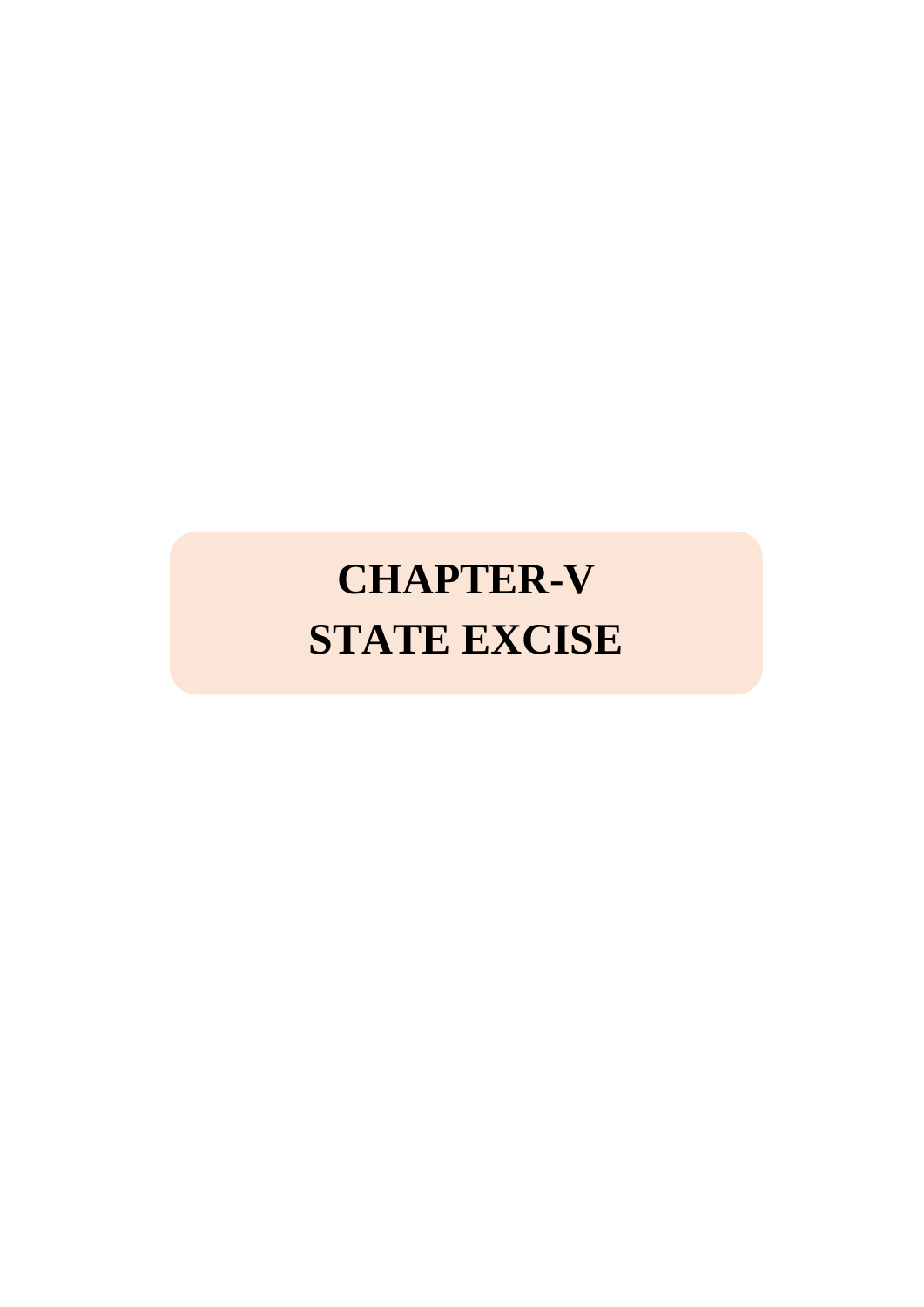# **CHAPTER-V STATE EXCISE**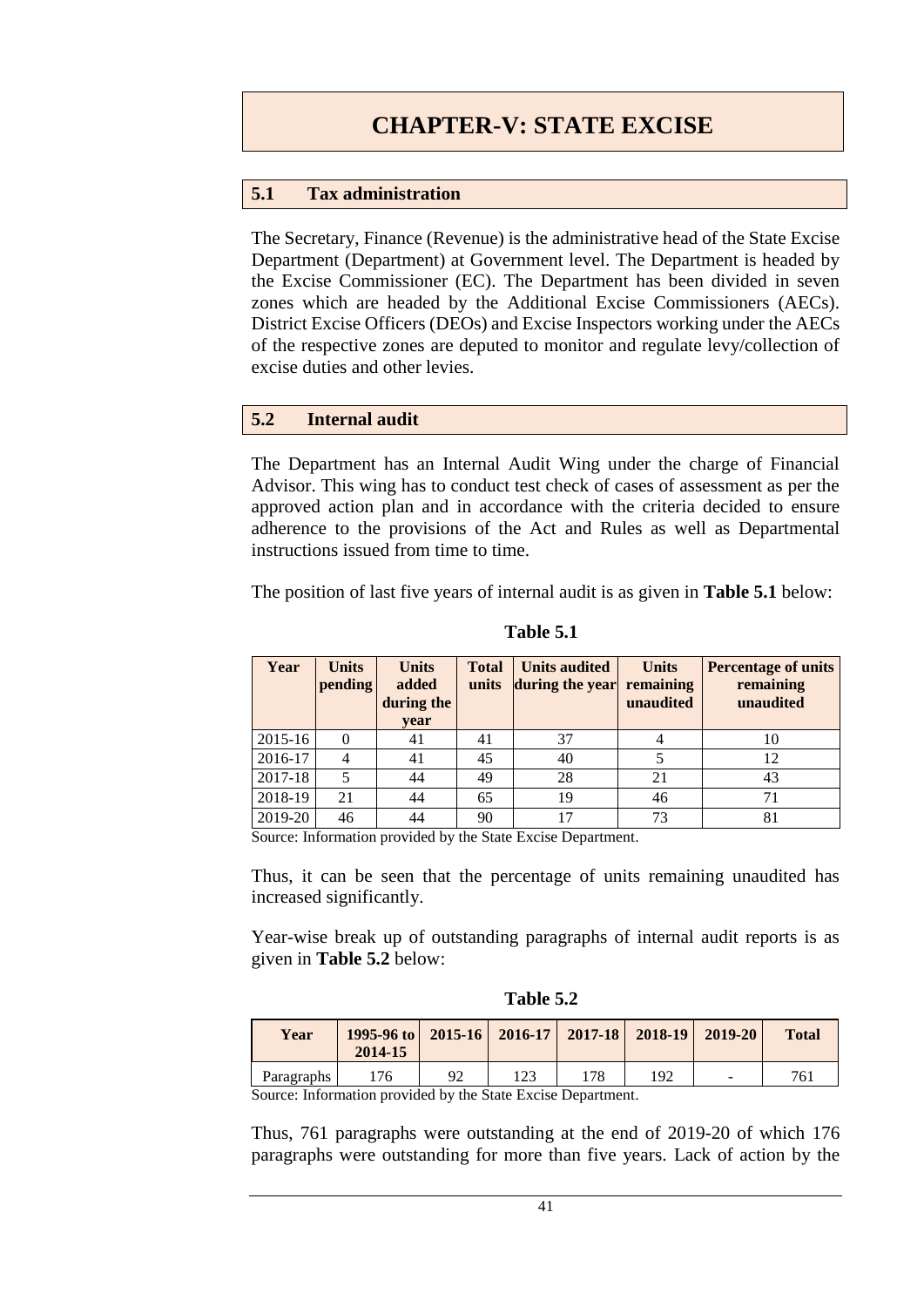# **5.1 Tax administration**

The Secretary, Finance (Revenue) is the administrative head of the State Excise Department (Department) at Government level. The Department is headed by the Excise Commissioner (EC). The Department has been divided in seven zones which are headed by the Additional Excise Commissioners (AECs). District Excise Officers (DEOs) and Excise Inspectors working under the AECs of the respective zones are deputed to monitor and regulate levy/collection of excise duties and other levies.

# **5.2 Internal audit**

The Department has an Internal Audit Wing under the charge of Financial Advisor. This wing has to conduct test check of cases of assessment as per the approved action plan and in accordance with the criteria decided to ensure adherence to the provisions of the Act and Rules as well as Departmental instructions issued from time to time.

The position of last five years of internal audit is as given in **Table 5.1** below:

| Year    | <b>Units</b><br>pending | <b>Units</b><br>added<br>during the<br>vear | <b>Total</b><br>units | <b>Units audited</b><br>during the year | <b>Units</b><br>remaining<br>unaudited | <b>Percentage of units</b><br>remaining<br>unaudited |
|---------|-------------------------|---------------------------------------------|-----------------------|-----------------------------------------|----------------------------------------|------------------------------------------------------|
| 2015-16 | 0                       | 41                                          | 41                    | 37                                      |                                        | 10                                                   |
| 2016-17 |                         | 41                                          | 45                    | 40                                      |                                        | 12                                                   |
| 2017-18 | 5                       | 44                                          | 49                    | 28                                      | 21                                     | 43                                                   |
| 2018-19 | 21                      | 44                                          | 65                    | 19                                      | 46                                     | 71                                                   |
| 2019-20 | 46                      | 44                                          | 90                    | 17                                      | 73                                     | 81                                                   |

**Table 5.1**

Source: Information provided by the State Excise Department.

Thus, it can be seen that the percentage of units remaining unaudited has increased significantly.

Year-wise break up of outstanding paragraphs of internal audit reports is as given in **Table 5.2** below:

| Table 5.2 |  |
|-----------|--|
|           |  |

| Year       | 1995-96 to   2015-16   2016-17   2017-18   2018-19   2019-20<br>2014-15 |    |     |     |     | <b>Total</b> |
|------------|-------------------------------------------------------------------------|----|-----|-----|-----|--------------|
| Paragraphs | 176                                                                     | 92 | 123 | 178 | 192 | 761          |

Source: Information provided by the State Excise Department.

Thus, 761 paragraphs were outstanding at the end of 2019-20 of which 176 paragraphs were outstanding for more than five years. Lack of action by the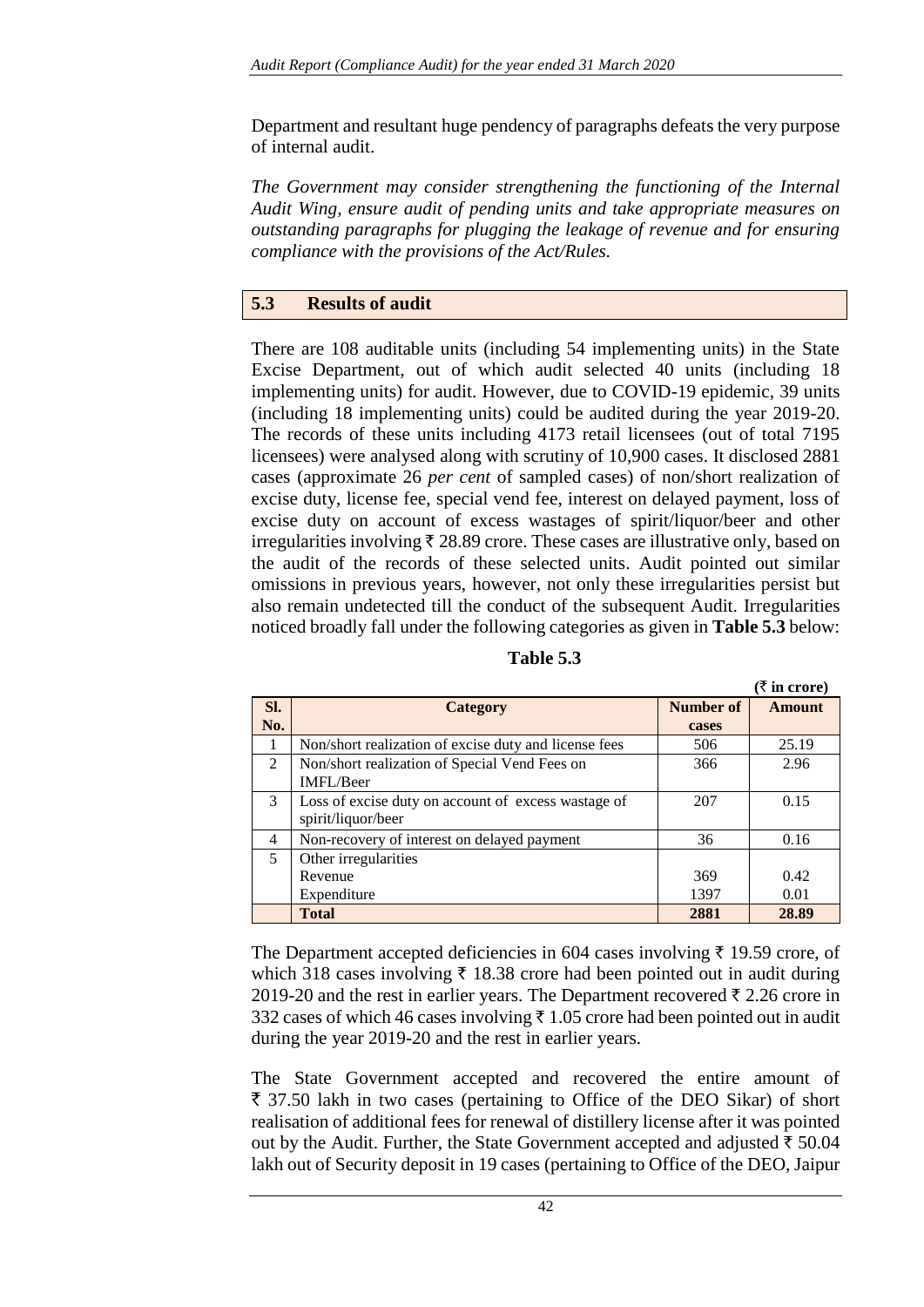Department and resultant huge pendency of paragraphs defeats the very purpose of internal audit.

*The Government may consider strengthening the functioning of the Internal Audit Wing, ensure audit of pending units and take appropriate measures on outstanding paragraphs for plugging the leakage of revenue and for ensuring compliance with the provisions of the Act/Rules.* 

# **5.3 Results of audit**

There are 108 auditable units (including 54 implementing units) in the State Excise Department, out of which audit selected 40 units (including 18 implementing units) for audit. However, due to COVID-19 epidemic, 39 units (including 18 implementing units) could be audited during the year 2019-20. The records of these units including 4173 retail licensees (out of total 7195 licensees) were analysed along with scrutiny of 10,900 cases. It disclosed 2881 cases (approximate 26 *per cent* of sampled cases) of non/short realization of excise duty, license fee, special vend fee, interest on delayed payment, loss of excise duty on account of excess wastages of spirit/liquor/beer and other irregularities involving  $\bar{\tau}$  28.89 crore. These cases are illustrative only, based on the audit of the records of these selected units. Audit pointed out similar omissions in previous years, however, not only these irregularities persist but also remain undetected till the conduct of the subsequent Audit. Irregularities noticed broadly fall under the following categories as given in **Table 5.3** below:

|     |                                                       |           | $\lambda$ in croter |
|-----|-------------------------------------------------------|-----------|---------------------|
| Sl. | Category                                              | Number of | <b>Amount</b>       |
| No. |                                                       | cases     |                     |
|     | Non/short realization of excise duty and license fees | 506       | 25.19               |
| 2   | Non/short realization of Special Vend Fees on         | 366       | 2.96                |
|     | <b>IMFL/Beer</b>                                      |           |                     |
| 3   | Loss of excise duty on account of excess wastage of   | 207       | 0.15                |
|     | spirit/liquor/beer                                    |           |                     |
| 4   | Non-recovery of interest on delayed payment           | 36        | 0.16                |
| 5   | Other irregularities                                  |           |                     |
|     | Revenue                                               | 369       | 0.42                |
|     | Expenditure                                           | 1397      | 0.01                |
|     | <b>Total</b>                                          | 2881      | 28.89               |

**Table 5.3**

 $(F \text{ in } \text{open})$ 

The Department accepted deficiencies in 604 cases involving  $\bar{\tau}$  19.59 crore, of which 318 cases involving  $\bar{\tau}$  18.38 crore had been pointed out in audit during 2019-20 and the rest in earlier years. The Department recovered  $\bar{\tau}$  2.26 crore in 332 cases of which 46 cases involving  $\bar{\tau}$  1.05 crore had been pointed out in audit during the year 2019-20 and the rest in earlier years.

The State Government accepted and recovered the entire amount of  $\bar{\tau}$  37.50 lakh in two cases (pertaining to Office of the DEO Sikar) of short realisation of additional fees for renewal of distillery license after it was pointed out by the Audit. Further, the State Government accepted and adjusted  $\bar{\tau}$  50.04 lakh out of Security deposit in 19 cases (pertaining to Office of the DEO, Jaipur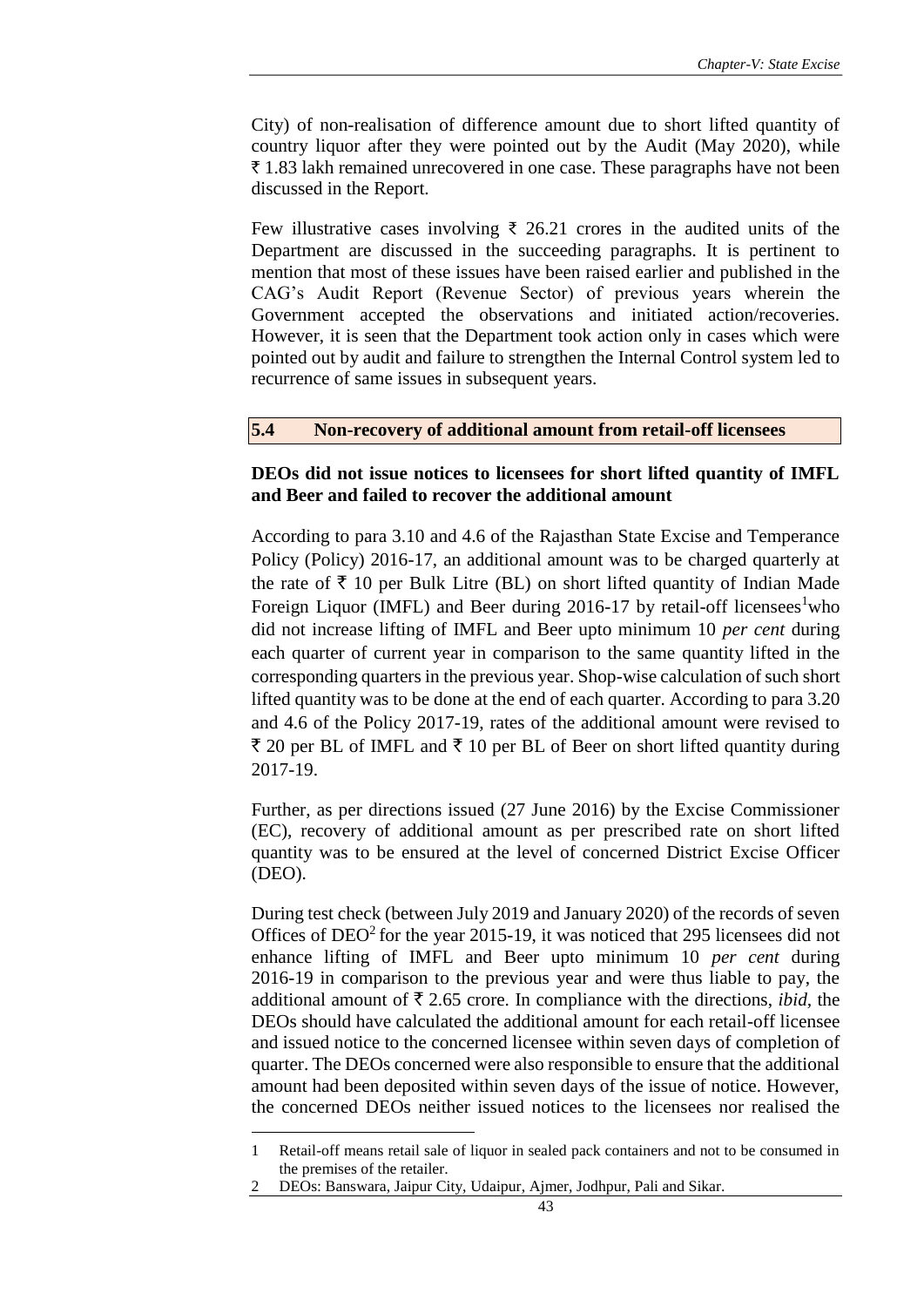City) of non-realisation of difference amount due to short lifted quantity of country liquor after they were pointed out by the Audit (May 2020), while  $\bar{\tau}$  1.83 lakh remained unrecovered in one case. These paragraphs have not been discussed in the Report.

Few illustrative cases involving ₹ 26.21 crores in the audited units of the Department are discussed in the succeeding paragraphs. It is pertinent to mention that most of these issues have been raised earlier and published in the CAG's Audit Report (Revenue Sector) of previous years wherein the Government accepted the observations and initiated action/recoveries. However, it is seen that the Department took action only in cases which were pointed out by audit and failure to strengthen the Internal Control system led to recurrence of same issues in subsequent years.

#### **5.4 Non-recovery of additional amount from retail-off licensees**

# **DEOs did not issue notices to licensees for short lifted quantity of IMFL and Beer and failed to recover the additional amount**

According to para 3.10 and 4.6 of the Rajasthan State Excise and Temperance Policy (Policy) 2016-17, an additional amount was to be charged quarterly at the rate of  $\bar{\tau}$  10 per Bulk Litre (BL) on short lifted quantity of Indian Made Foreign Liquor (IMFL) and Beer during  $2016-17$  by retail-off licensees<sup>1</sup>who did not increase lifting of IMFL and Beer upto minimum 10 *per cent* during each quarter of current year in comparison to the same quantity lifted in the corresponding quarters in the previous year. Shop-wise calculation of such short lifted quantity was to be done at the end of each quarter. According to para 3.20 and 4.6 of the Policy 2017-19, rates of the additional amount were revised to  $\bar{\tau}$  20 per BL of IMFL and  $\bar{\tau}$  10 per BL of Beer on short lifted quantity during 2017-19.

Further, as per directions issued (27 June 2016) by the Excise Commissioner (EC), recovery of additional amount as per prescribed rate on short lifted quantity was to be ensured at the level of concerned District Excise Officer (DEO).

During test check (between July 2019 and January 2020) of the records of seven Offices of  $DEO<sup>2</sup>$  for the year 2015-19, it was noticed that 295 licensees did not enhance lifting of IMFL and Beer upto minimum 10 *per cent* during 2016-19 in comparison to the previous year and were thus liable to pay, the additional amount of  $\bar{\tau}$  2.65 crore. In compliance with the directions, *ibid*, the DEOs should have calculated the additional amount for each retail-off licensee and issued notice to the concerned licensee within seven days of completion of quarter. The DEOs concerned were also responsible to ensure that the additional amount had been deposited within seven days of the issue of notice. However, the concerned DEOs neither issued notices to the licensees nor realised the

1

<sup>1</sup> Retail-off means retail sale of liquor in sealed pack containers and not to be consumed in the premises of the retailer.

<sup>2</sup> DEOs: Banswara, Jaipur City, Udaipur, Ajmer, Jodhpur, Pali and Sikar.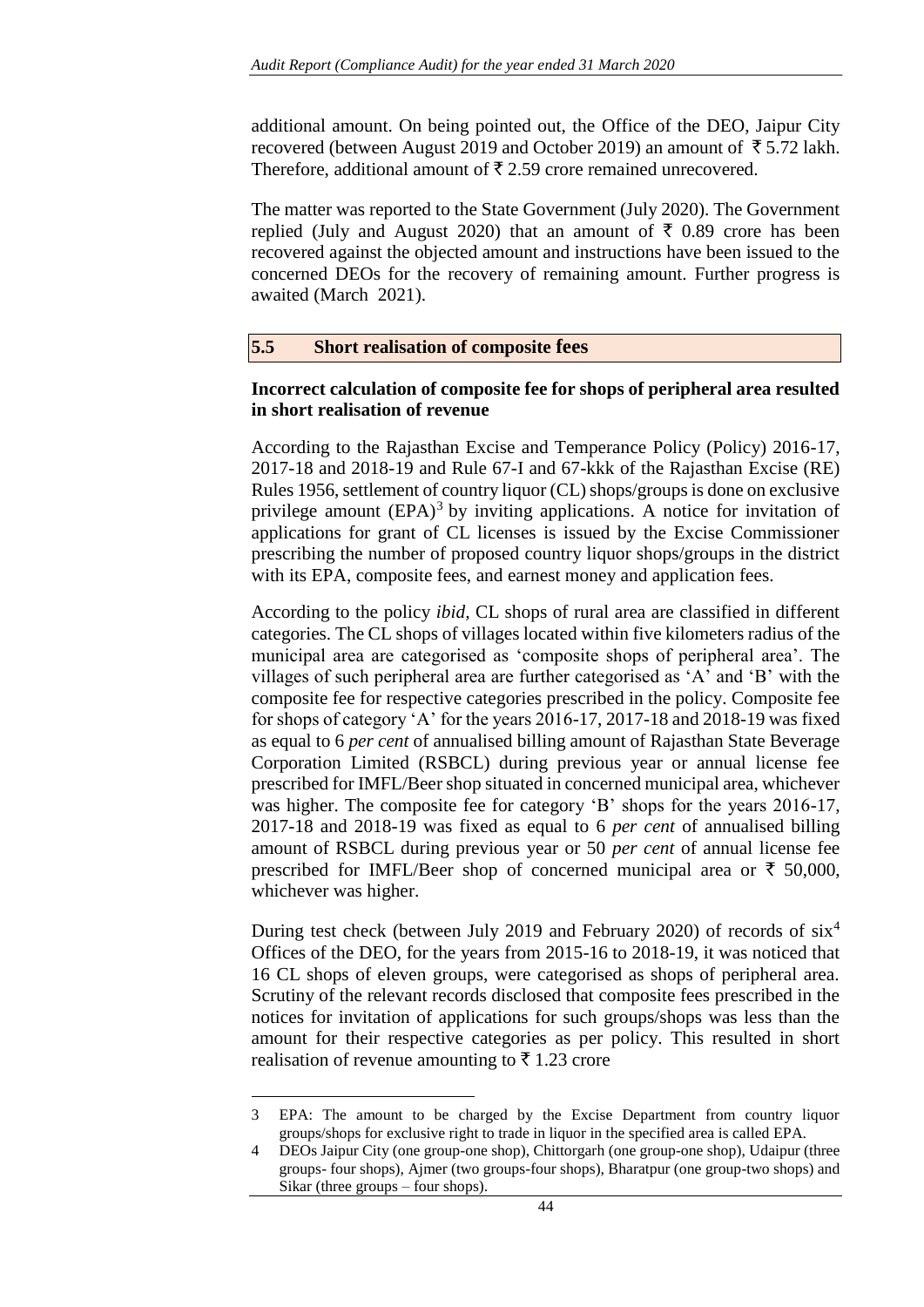additional amount. On being pointed out, the Office of the DEO, Jaipur City recovered (between August 2019 and October 2019) an amount of  $\bar{\tau}$  5.72 lakh. Therefore, additional amount of  $\bar{\tau}$  2.59 crore remained unrecovered.

The matter was reported to the State Government (July 2020). The Government replied (July and August 2020) that an amount of  $\bar{\tau}$  0.89 crore has been recovered against the objected amount and instructions have been issued to the concerned DEOs for the recovery of remaining amount. Further progress is awaited (March 2021).

# **5.5 Short realisation of composite fees**

# **Incorrect calculation of composite fee for shops of peripheral area resulted in short realisation of revenue**

According to the Rajasthan Excise and Temperance Policy (Policy) 2016-17, 2017-18 and 2018-19 and Rule 67-I and 67-kkk of the Rajasthan Excise (RE) Rules 1956, settlement of country liquor (CL) shops/groups is done on exclusive privilege amount  $(EPA)^3$  by inviting applications. A notice for invitation of applications for grant of CL licenses is issued by the Excise Commissioner prescribing the number of proposed country liquor shops/groups in the district with its EPA, composite fees, and earnest money and application fees.

According to the policy *ibid,* CL shops of rural area are classified in different categories. The CL shops of villages located within five kilometers radius of the municipal area are categorised as 'composite shops of peripheral area'. The villages of such peripheral area are further categorised as 'A' and 'B' with the composite fee for respective categories prescribed in the policy. Composite fee for shops of category 'A' for the years 2016-17, 2017-18 and 2018-19 was fixed as equal to 6 *per cent* of annualised billing amount of Rajasthan State Beverage Corporation Limited (RSBCL) during previous year or annual license fee prescribed for IMFL/Beer shop situated in concerned municipal area, whichever was higher. The composite fee for category 'B' shops for the years 2016-17, 2017-18 and 2018-19 was fixed as equal to 6 *per cent* of annualised billing amount of RSBCL during previous year or 50 *per cent* of annual license fee prescribed for IMFL/Beer shop of concerned municipal area or  $\bar{\tau}$  50,000, whichever was higher.

During test check (between July 2019 and February 2020) of records of six<sup>4</sup> Offices of the DEO, for the years from 2015-16 to 2018-19, it was noticed that 16 CL shops of eleven groups, were categorised as shops of peripheral area. Scrutiny of the relevant records disclosed that composite fees prescribed in the notices for invitation of applications for such groups/shops was less than the amount for their respective categories as per policy. This resulted in short realisation of revenue amounting to  $\bar{\tau}$  1.23 crore

<sup>3</sup> EPA: The amount to be charged by the Excise Department from country liquor groups/shops for exclusive right to trade in liquor in the specified area is called EPA.

<sup>4</sup> DEOs Jaipur City (one group-one shop), Chittorgarh (one group-one shop), Udaipur (three groups- four shops), Ajmer (two groups-four shops), Bharatpur (one group-two shops) and Sikar (three groups – four shops).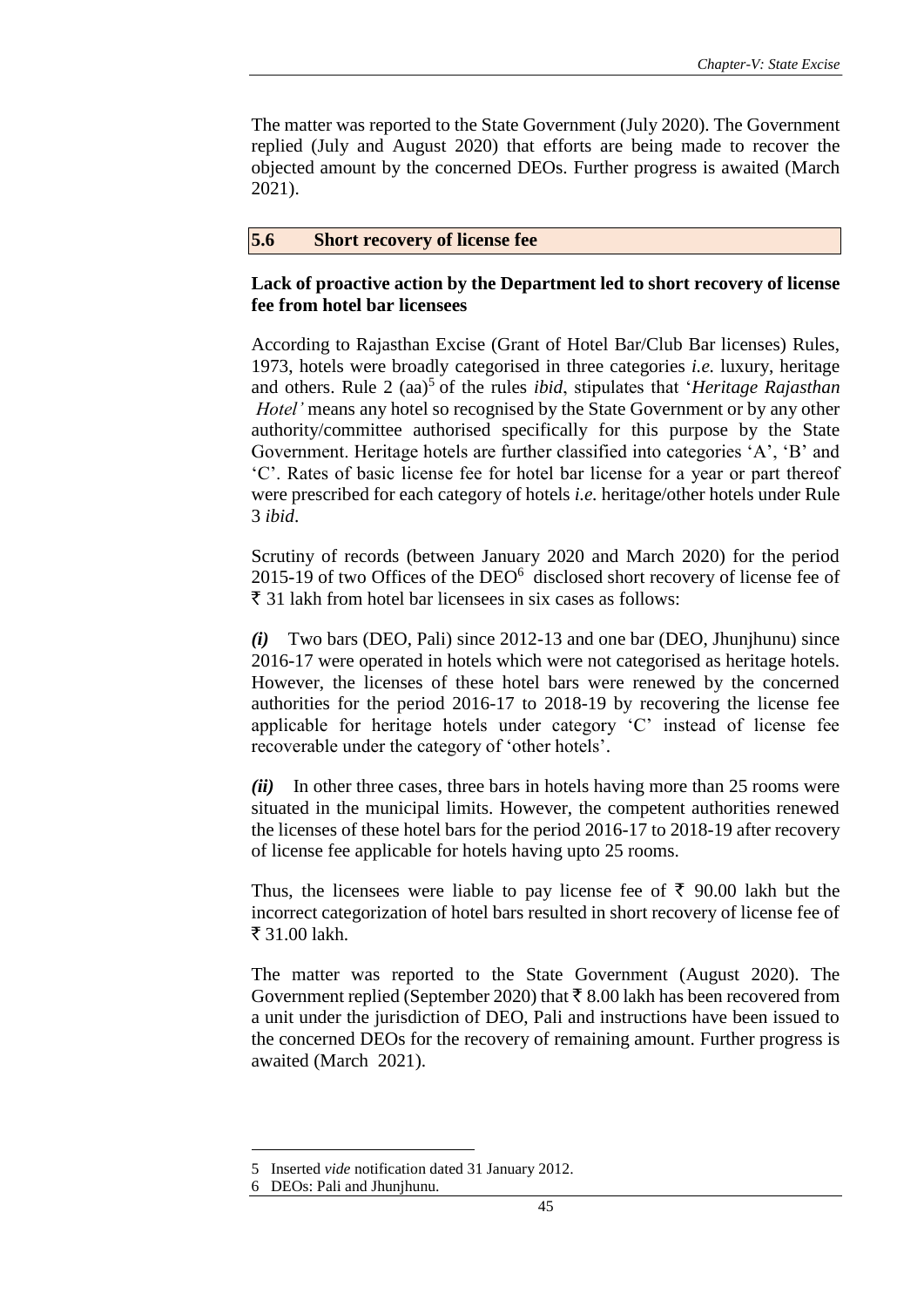The matter was reported to the State Government (July 2020). The Government replied (July and August 2020) that efforts are being made to recover the objected amount by the concerned DEOs. Further progress is awaited (March 2021).

#### **5.6 Short recovery of license fee**

## **Lack of proactive action by the Department led to short recovery of license fee from hotel bar licensees**

According to Rajasthan Excise (Grant of Hotel Bar/Club Bar licenses) Rules, 1973, hotels were broadly categorised in three categories *i.e.* luxury, heritage and others. Rule 2 (aa)<sup>5</sup> of the rules *ibid*, stipulates that '*Heritage Rajasthan Hotel'* means any hotel so recognised by the State Government or by any other authority/committee authorised specifically for this purpose by the State Government. Heritage hotels are further classified into categories 'A', 'B' and 'C'. Rates of basic license fee for hotel bar license for a year or part thereof were prescribed for each category of hotels *i.e.* heritage/other hotels under Rule 3 *ibid*.

Scrutiny of records (between January 2020 and March 2020) for the period 2015-19 of two Offices of the  $DEO<sup>6</sup>$  disclosed short recovery of license fee of  $\bar{\tau}$  31 lakh from hotel bar licensees in six cases as follows:

*(i)* Two bars (DEO, Pali) since 2012-13 and one bar (DEO, Jhunjhunu) since 2016-17 were operated in hotels which were not categorised as heritage hotels. However, the licenses of these hotel bars were renewed by the concerned authorities for the period 2016-17 to 2018-19 by recovering the license fee applicable for heritage hotels under category 'C' instead of license fee recoverable under the category of 'other hotels'.

*(ii)*In other three cases, three bars in hotels having more than 25 rooms were situated in the municipal limits. However, the competent authorities renewed the licenses of these hotel bars for the period 2016-17 to 2018-19 after recovery of license fee applicable for hotels having upto 25 rooms.

Thus, the licensees were liable to pay license fee of  $\bar{\tau}$  90.00 lakh but the incorrect categorization of hotel bars resulted in short recovery of license fee of ₹ 31.00 lakh.

The matter was reported to the State Government (August 2020). The Government replied (September 2020) that  $\bar{\tau}$  8.00 lakh has been recovered from a unit under the jurisdiction of DEO, Pali and instructions have been issued to the concerned DEOs for the recovery of remaining amount. Further progress is awaited (March 2021).

<sup>5</sup> Inserted *vide* notification dated 31 January 2012.

<sup>6</sup> DEOs: Pali and Jhunjhunu.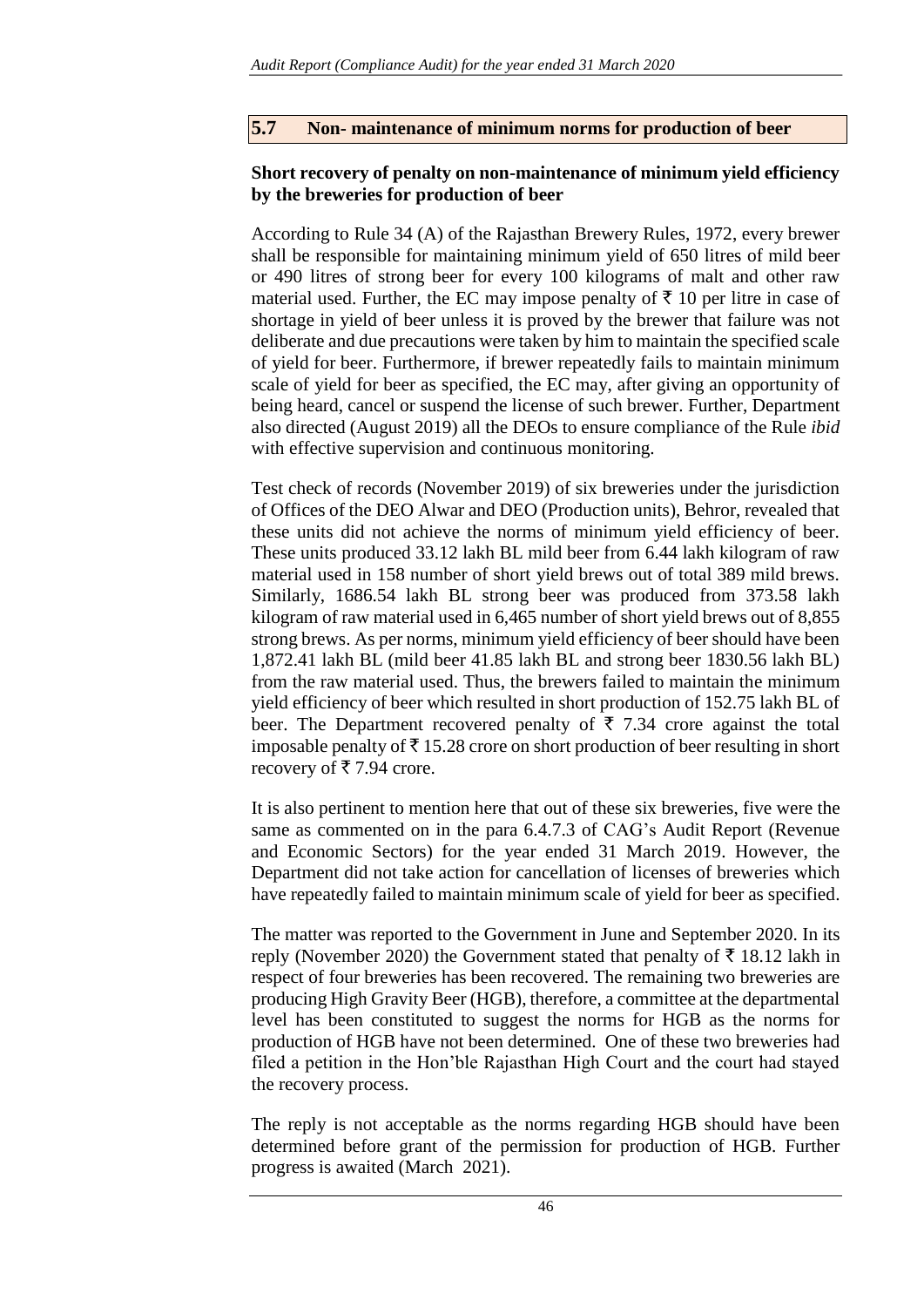# **5.7 Non- maintenance of minimum norms for production of beer**

# **Short recovery of penalty on non-maintenance of minimum yield efficiency by the breweries for production of beer**

According to Rule 34 (A) of the Rajasthan Brewery Rules, 1972, every brewer shall be responsible for maintaining minimum yield of 650 litres of mild beer or 490 litres of strong beer for every 100 kilograms of malt and other raw material used. Further, the EC may impose penalty of  $\bar{\tau}$  10 per litre in case of shortage in yield of beer unless it is proved by the brewer that failure was not deliberate and due precautions were taken by him to maintain the specified scale of yield for beer. Furthermore, if brewer repeatedly fails to maintain minimum scale of yield for beer as specified, the EC may, after giving an opportunity of being heard, cancel or suspend the license of such brewer. Further, Department also directed (August 2019) all the DEOs to ensure compliance of the Rule *ibid* with effective supervision and continuous monitoring.

Test check of records (November 2019) of six breweries under the jurisdiction of Offices of the DEO Alwar and DEO (Production units), Behror, revealed that these units did not achieve the norms of minimum yield efficiency of beer. These units produced 33.12 lakh BL mild beer from 6.44 lakh kilogram of raw material used in 158 number of short yield brews out of total 389 mild brews. Similarly, 1686.54 lakh BL strong beer was produced from 373.58 lakh kilogram of raw material used in 6,465 number of short yield brews out of 8,855 strong brews. As per norms, minimum yield efficiency of beer should have been 1,872.41 lakh BL (mild beer 41.85 lakh BL and strong beer 1830.56 lakh BL) from the raw material used. Thus, the brewers failed to maintain the minimum yield efficiency of beer which resulted in short production of 152.75 lakh BL of beer. The Department recovered penalty of  $\bar{\tau}$  7.34 crore against the total imposable penalty of  $\bar{\tau}$  15.28 crore on short production of beer resulting in short recovery of  $\bar{\tau}$  7.94 crore.

It is also pertinent to mention here that out of these six breweries, five were the same as commented on in the para 6.4.7.3 of CAG's Audit Report (Revenue and Economic Sectors) for the year ended 31 March 2019. However, the Department did not take action for cancellation of licenses of breweries which have repeatedly failed to maintain minimum scale of yield for beer as specified.

The matter was reported to the Government in June and September 2020. In its reply (November 2020) the Government stated that penalty of  $\bar{\tau}$  18.12 lakh in respect of four breweries has been recovered. The remaining two breweries are producing High Gravity Beer (HGB), therefore, a committee at the departmental level has been constituted to suggest the norms for HGB as the norms for production of HGB have not been determined. One of these two breweries had filed a petition in the Hon'ble Rajasthan High Court and the court had stayed the recovery process.

The reply is not acceptable as the norms regarding HGB should have been determined before grant of the permission for production of HGB. Further progress is awaited (March 2021).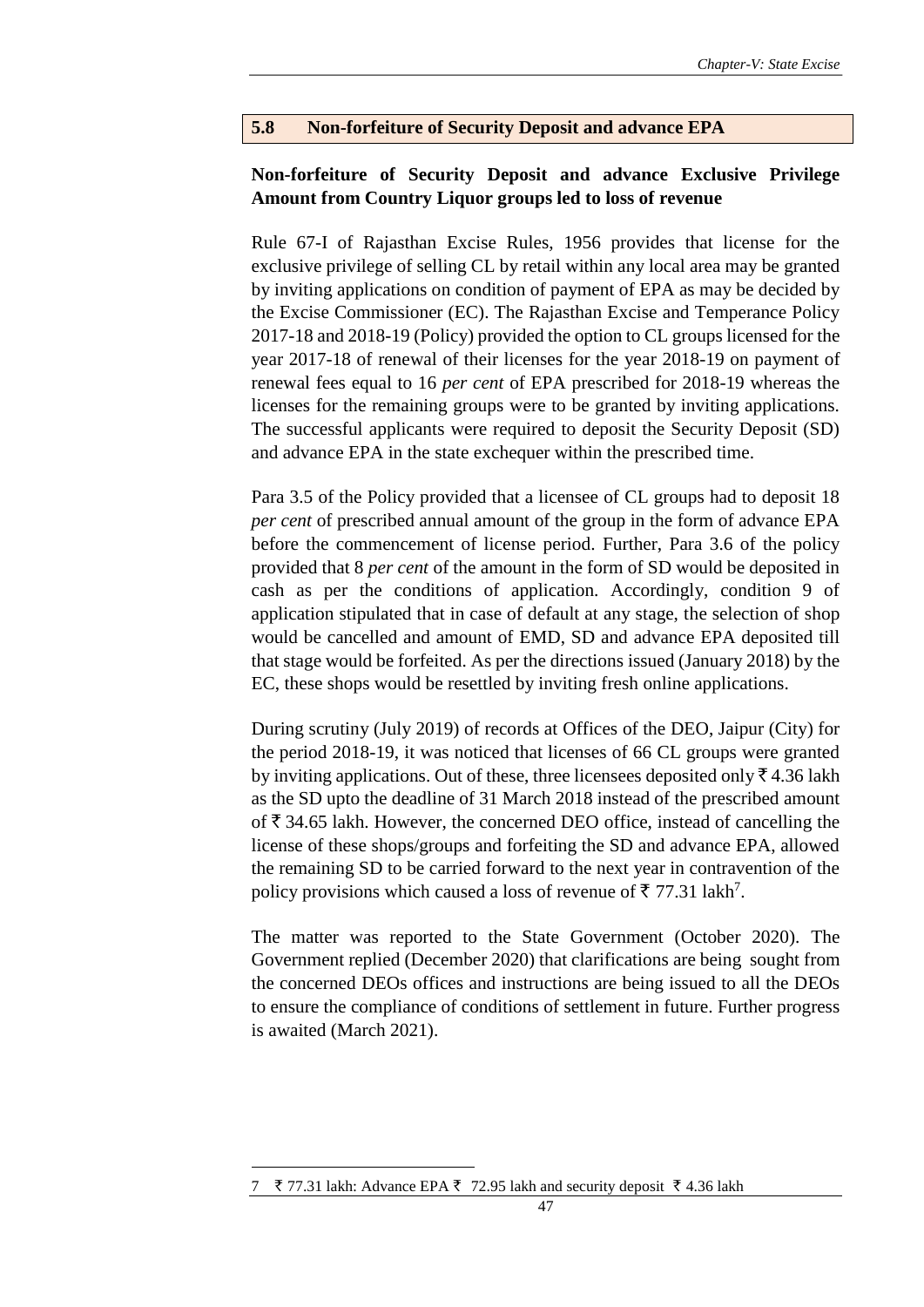## **5.8 Non-forfeiture of Security Deposit and advance EPA**

# **Non-forfeiture of Security Deposit and advance Exclusive Privilege Amount from Country Liquor groups led to loss of revenue**

Rule 67-I of Rajasthan Excise Rules, 1956 provides that license for the exclusive privilege of selling CL by retail within any local area may be granted by inviting applications on condition of payment of EPA as may be decided by the Excise Commissioner (EC). The Rajasthan Excise and Temperance Policy 2017-18 and 2018-19 (Policy) provided the option to CL groups licensed for the year 2017-18 of renewal of their licenses for the year 2018-19 on payment of renewal fees equal to 16 *per cent* of EPA prescribed for 2018-19 whereas the licenses for the remaining groups were to be granted by inviting applications. The successful applicants were required to deposit the Security Deposit (SD) and advance EPA in the state exchequer within the prescribed time.

Para 3.5 of the Policy provided that a licensee of CL groups had to deposit 18 *per cent* of prescribed annual amount of the group in the form of advance EPA before the commencement of license period. Further, Para 3.6 of the policy provided that 8 *per cent* of the amount in the form of SD would be deposited in cash as per the conditions of application. Accordingly, condition 9 of application stipulated that in case of default at any stage, the selection of shop would be cancelled and amount of EMD, SD and advance EPA deposited till that stage would be forfeited. As per the directions issued (January 2018) by the EC, these shops would be resettled by inviting fresh online applications.

During scrutiny (July 2019) of records at Offices of the DEO, Jaipur (City) for the period 2018-19, it was noticed that licenses of 66 CL groups were granted by inviting applications. Out of these, three licensees deposited only  $\bar{\tau}$  4.36 lakh as the SD upto the deadline of 31 March 2018 instead of the prescribed amount of  $\bar{\tau}$  34.65 lakh. However, the concerned DEO office, instead of cancelling the license of these shops/groups and forfeiting the SD and advance EPA, allowed the remaining SD to be carried forward to the next year in contravention of the policy provisions which caused a loss of revenue of ₹ 77.31 lakh<sup>7</sup>.

The matter was reported to the State Government (October 2020). The Government replied (December 2020) that clarifications are being sought from the concerned DEOs offices and instructions are being issued to all the DEOs to ensure the compliance of conditions of settlement in future. Further progress is awaited (March 2021).

 $7 \quad$ ₹ 77.31 lakh: Advance EPA ₹ 72.95 lakh and security deposit ₹ 4.36 lakh